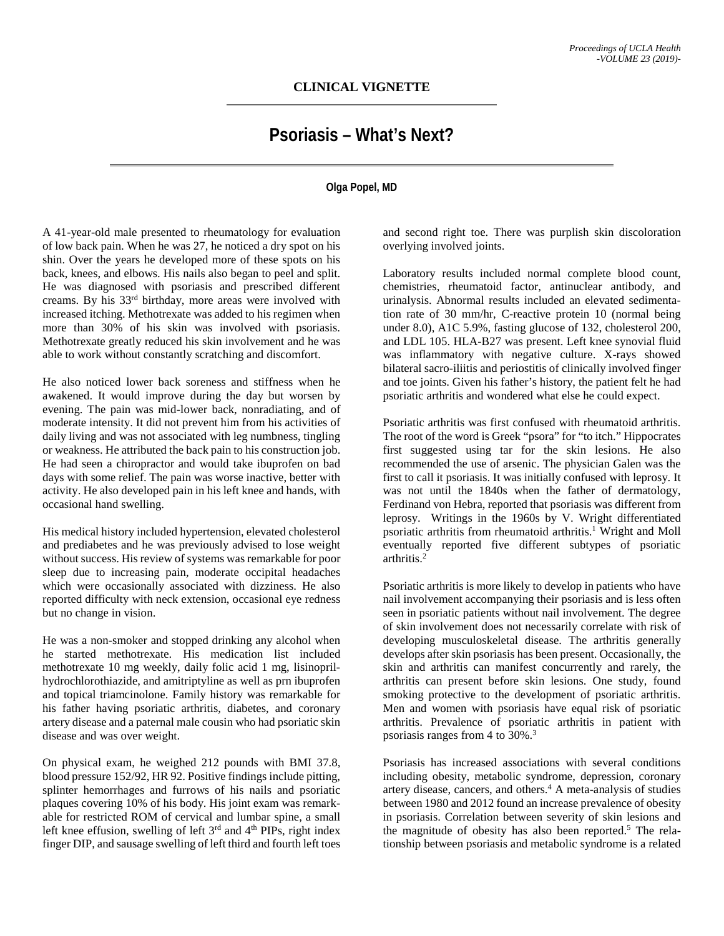## **Psoriasis – What's Next?**

## **Olga Popel, MD**

A 41-year-old male presented to rheumatology for evaluation of low back pain. When he was 27, he noticed a dry spot on his shin. Over the years he developed more of these spots on his back, knees, and elbows. His nails also began to peel and split. He was diagnosed with psoriasis and prescribed different creams. By his 33rd birthday, more areas were involved with increased itching. Methotrexate was added to his regimen when more than 30% of his skin was involved with psoriasis. Methotrexate greatly reduced his skin involvement and he was able to work without constantly scratching and discomfort.

He also noticed lower back soreness and stiffness when he awakened. It would improve during the day but worsen by evening. The pain was mid-lower back, nonradiating, and of moderate intensity. It did not prevent him from his activities of daily living and was not associated with leg numbness, tingling or weakness. He attributed the back pain to his construction job. He had seen a chiropractor and would take ibuprofen on bad days with some relief. The pain was worse inactive, better with activity. He also developed pain in his left knee and hands, with occasional hand swelling.

His medical history included hypertension, elevated cholesterol and prediabetes and he was previously advised to lose weight without success. His review of systems was remarkable for poor sleep due to increasing pain, moderate occipital headaches which were occasionally associated with dizziness. He also reported difficulty with neck extension, occasional eye redness but no change in vision.

He was a non-smoker and stopped drinking any alcohol when he started methotrexate. His medication list included methotrexate 10 mg weekly, daily folic acid 1 mg, lisinoprilhydrochlorothiazide, and amitriptyline as well as prn ibuprofen and topical triamcinolone. Family history was remarkable for his father having psoriatic arthritis, diabetes, and coronary artery disease and a paternal male cousin who had psoriatic skin disease and was over weight.

On physical exam, he weighed 212 pounds with BMI 37.8, blood pressure 152/92, HR 92. Positive findings include pitting, splinter hemorrhages and furrows of his nails and psoriatic plaques covering 10% of his body. His joint exam was remarkable for restricted ROM of cervical and lumbar spine, a small left knee effusion, swelling of left  $3<sup>rd</sup>$  and  $4<sup>th</sup>$  PIPs, right index finger DIP, and sausage swelling of left third and fourth left toes

and second right toe. There was purplish skin discoloration overlying involved joints.

Laboratory results included normal complete blood count, chemistries, rheumatoid factor, antinuclear antibody, and urinalysis. Abnormal results included an elevated sedimentation rate of 30 mm/hr, C-reactive protein 10 (normal being under 8.0), A1C 5.9%, fasting glucose of 132, cholesterol 200, and LDL 105. HLA-B27 was present. Left knee synovial fluid was inflammatory with negative culture. X-rays showed bilateral sacro-iliitis and periostitis of clinically involved finger and toe joints. Given his father's history, the patient felt he had psoriatic arthritis and wondered what else he could expect.

Psoriatic arthritis was first confused with rheumatoid arthritis. The root of the word is Greek "psora" for "to itch." Hippocrates first suggested using tar for the skin lesions. He also recommended the use of arsenic. The physician Galen was the first to call it psoriasis. It was initially confused with leprosy. It was not until the 1840s when the father of dermatology, Ferdinand von Hebra, reported that psoriasis was different from leprosy. Writings in the 1960s by V. Wright differentiated psoriatic arthritis from rheumatoid arthritis.<sup>1</sup> Wright and Moll eventually reported five different subtypes of psoriatic arthritis.2

Psoriatic arthritis is more likely to develop in patients who have nail involvement accompanying their psoriasis and is less often seen in psoriatic patients without nail involvement. The degree of skin involvement does not necessarily correlate with risk of developing musculoskeletal disease. The arthritis generally develops after skin psoriasis has been present. Occasionally, the skin and arthritis can manifest concurrently and rarely, the arthritis can present before skin lesions. One study, found smoking protective to the development of psoriatic arthritis. Men and women with psoriasis have equal risk of psoriatic arthritis. Prevalence of psoriatic arthritis in patient with psoriasis ranges from 4 to 30%.3

Psoriasis has increased associations with several conditions including obesity, metabolic syndrome, depression, coronary artery disease, cancers, and others. $4 \text{ A meta-analysis of studies}$ between 1980 and 2012 found an increase prevalence of obesity in psoriasis. Correlation between severity of skin lesions and the magnitude of obesity has also been reported.<sup>5</sup> The relationship between psoriasis and metabolic syndrome is a related